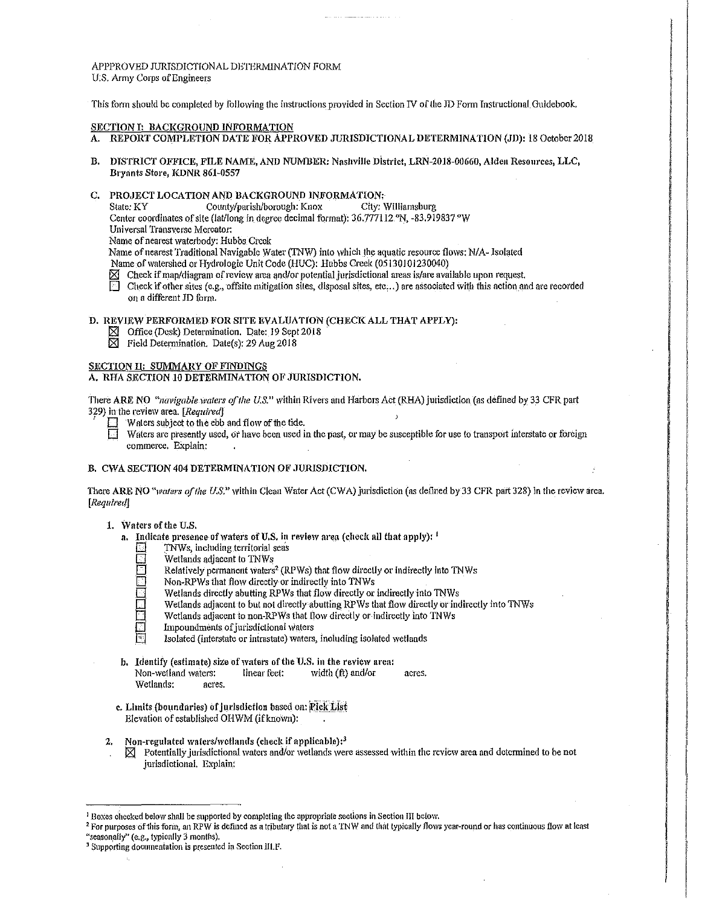APPPROVED JURISDICTIONAL DETERMINATION FORM U.S. Army Corps of Engineers

This form should be conneleted by following the instructions provided in Section IV of the JD Form Instructional Guidebook,

### SECTION I: BACKGROUND INFORMATION

- A. REPORT COMPLETION DATE FOR APPROVED JURISDICTIONAL DETERMINATION (JD): 18 October 2018
- B. DISTRICT OFFICE, FILE NAME, AND NUIVIBER: Nashville District, LRN-2018-00660, Alden Resources, LLC, Bryants Store, KDNR 861-0557
- C. PROJECT LOCATION AND BACKGROUND INFORMATION;
	- State: KY County/parish/borough: Knox City: Williamsburg
	- Center coordinates of site (lat/long in degree decimal format): 36.777112. N, -83.919837. W
	- Universal Transverse Mercator:
	- Name of nearest waterbody: Hubbs Creek

Name of nearest Traditional Navigable Water (TNW) into which the aquatic resource flows: N/A- Isolated

- Name of watershed or Hydrologic Unit Code (HUC): Hubbs Creek (05130101230040)
- $\boxtimes$  Check if map/diagram of review area and/or potential jurisdictional areas is/are available upon request.
- $\Box$  Check if other sites (e.g., offsite mitigation sites, disposal sites, etc...) are associated with this action and are recorded on a different JD fom1.

### D. REVIEW PERFORMED FOR SITE EVALUATION (CHECK ALL THAT APPLY):

- $\boxtimes$  Office (Desk) Determination. Date: 19 Sept 2018
- $\boxtimes$  Field Determination. Date(s): 29 Aug 2018

## SECTION II: SUMMARY OF FINDINGS

# A. RHA SECTION 10 DETERMINATION OF JURISDICTION.

There ARE NO *"navigable waters of the U.S."* within Rivers and Harbors Act (RHA) jurisdiction (as defined by 33 CFR part 329) in the review area. [*Required*]

- Waters subject to the ebb and flow of the tide.<br>Waters are presently used, or have been used if
	- Waters are presently used, or have been used in the past, or may be susceptible for use to transport interstate or foreign cominerce, Explain:

### B. CWA SECTION 404 DETERMINATION OF JURISDICTION.

There ARE NO "waters of the U.S." within Clean Water Act (CWA) jurisdiction (as defined by 33 CFR part 328) in the review area. *[Requlredj* 

### 1. \Vaters of the U.S.

- a. Indicate presence of waters of U.S. in review area (check all that apply):  $^1$ 
	- TNWs, including territorial seas
	- Wetlands adjacent to TNWs
	- Relatively permanent waters<sup>2</sup> (RPWs) that flow directly or indirectly into TNWs
	- Non-RPWs that flow directly or indirectly into TNWs
	- Wetlands directly abutting RPWs that flow directly or indirectly into TNWs
	- Wetlands adjacent to but not directly-abutting RPWs that flow directly or indirectly into TNWs
	- Wetlands adjacent to non-RPWs that flow directly or indirectly into TNWs
	- Impoundments of jurisdictional waters
	- Isolated (interstate or intrastate) waters, including isolated wetlands
- b. Identify (estimate) size of waters of the U.S. in the review area: Non-welland waters: linear feet: width (ft) and/or acres. Wetlands: acres.
- c. Limits (boundaries) of jurisdiction based on: Pick List Elevation of established OHWM (if known):
- 2. Non-regulated waters/wetlands (check if applicable): $3$ 
	- $\boxtimes$  Potentially jurisdictional waters and/or wetlands were assessed within the review area and determined to be not jurisdictional. Explain;

<sup>&</sup>lt;sup>1</sup> Boxes checked below shall be supported by completing the appropriate sections in Section III below.<br><sup>2</sup> For purposes of this form, an RPW is defined as a tributary that is not a TNW and that typically flows year-round

<sup>&</sup>lt;sup>3</sup> Supporting documentation is presented in Section lll.F.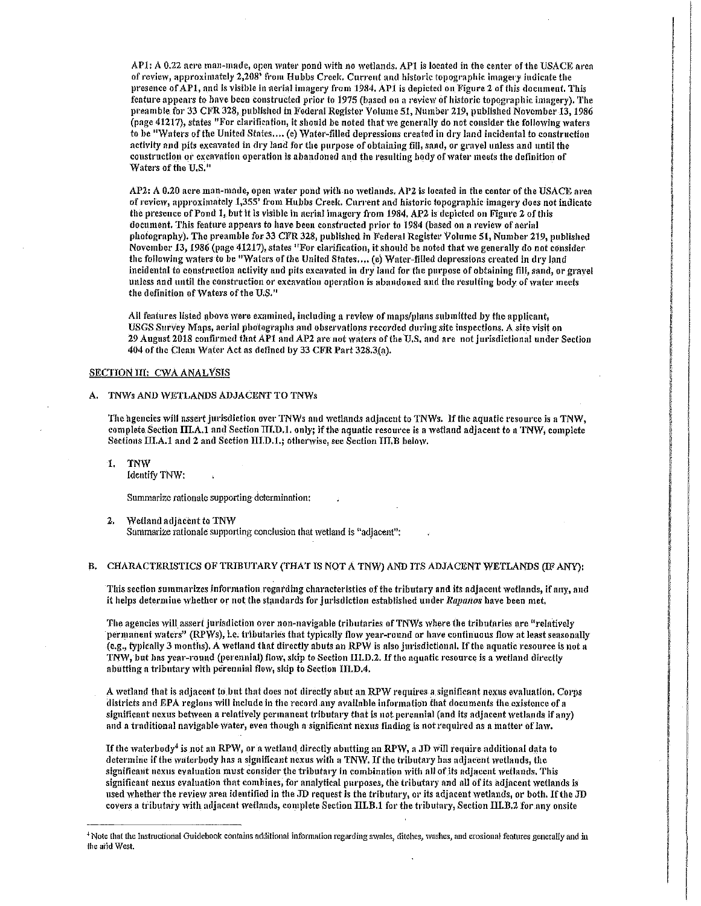AP1: A 0.22 acre man-made, open water pond with no wetlands. AP1 is located in the center of the USACE area of review, approximately 2,208' from Hubbs Creek. Current and historic topographic imagery indicate the presence of APl, and is visible in nerial intagery front 1984. APl is depicted on Figure 2 of this document. This feature appears to have been constructed prior to 1975 (based on a review of historic topographic imagery). The preamble for 33 CFR 328, published in Federal Register Volume 51, Number 219, published November 13, 1986  $(n$ age 41217), states "For clarification, it should be noted that we generally do not consider the following waters to be "Waters of the United States.... (e) Water-filled depressions created in dry land incidental to construction activity and pits excavated in dry land for the purpose of obtaining fill, sand, or gravel unless and until the construction or excavation operation is abandoned and the resulting body of water meets the definition of Waters of the U.S.<sup>11</sup>

 $AP2: A 0.20$  acre man-made, open water pond with no wetlands,  $AP2$  is located in the center of the USACE area of review, approximately 1,355' from Hubbs Creek. Current and historic topographic imagery does not indicate the presence of Pond l, but it is visible in aerial imagery from 1984. AP2 is depicted on Figure 2 of this document. This feature appears to have been constructed prior to 1984 (based on a review of aerial photography). The preamble for 33 CFR 328, published in Federal Register Volume 51, Number 219, published November 13, 1986 (page 41217), states "For clarification, it should be noted that we generally do not consider the following waters to be "Waters of the United States.... (e) Water-filled depressions created in dry land incidental-to construction activity and pits excavated in dry land for the purpose of obtaining fill, sand, or gravel unless and until the construction or excavation operation is abandoned and the resulting body of water meets the definition of Waters of the U.S."

I ' **International** 

I 1 I

I I

All features listed above were examined, including a review of maps/plans submitted by the applicant, USGS SurVey Maps, aerial photographs and observations recorded during· site inspections, A site visit on 29 August 2018 confirmed that AP1 and AP2 are not waters of the U.S. and are not jurisdictional under Section  $404$  of the Clean Water Act as defined by 33 CFR Part 328.3(a).

## SECTION III: CWA ANALYSIS

#### A. TNWs AND WETLANDS ADJACENT TO TNWs

The agencies will assert jurisdiction over TNWs and wetlands adjacent to TNWs. If the aquatic resource is a TNW, complete Section III.A.1 and Section III.D.1. only; if the aquatic resource is a wetland adjacent to a TNW, complete Sections  $\text{III.A.1}$  and 2 and Section  $\text{III.D.1.}$ ; otherwise, see Section III,B below,

1. TNW Identify TNW:

Summarize tationalc supporting determination:

#### 2. Wetland adjacent to TNW Summarize rationale supporting conclusion that wetland is "adjacent":

### B. CHARACTERISTICS OF TRIBUTARY (THAT IS NOT A TNW) AND ITS ADJACENT WETLANDS (IF ANY):

This section summarizes information regarding characteristics of the tributary and its adjacent wetlands, if any, and it helps determine whether or not the standards for jurisdiction established under Rapanos have been met,

The agencies will assert jurisdiction over non-navigable tributaries of TNWs where the tributaries are "relatively permanent waters" (RPWs), i.e. tributaries that typically flow year-round or have continuous flow at least seasonally (e.g., typically 3 months). A wetland that directly abuts an RPW is also jurisdictional. If the aquatic resource is not a TNW, but has year-round (perennial) flow, skip to Section III.D.2. If the aquatic resource is a wetland directly abutting a tributary with perennial flow, skip to Section III.D.4.

A wetland that is adjacent to but that does not directly abut an RPW requires a significant nexus evaluation, Corps districts and EPA regions will include in the record any available information that documents the existence of a significant nexus between a relatively permanent tributary that is not perennial (and its adjacent wetlands if any) and a traditional navigable water, even though a significant nexus finding is not required as a matter of law.

If the waterbody<sup>4</sup> is not an RPW, or a wetland directly abutting an RPW, a JD will require additional data to determine if the waterbody has a significant nexus with a TNW. If the tributary has adjacent wetlands, the significant nexus evaluation must consider the tributary in combination with all of its adjacent wetlands. This significant nexus evaluation that combines, for analytical purposes, the tributary and all of its adjacent wetlands is used whether the review area identified in the JD request is the tributary, or its adjacent wetlands, or both. If the JD covers a tributary with adjacent wetlands, complete Section III.B.1 for the tributary, Section III.B.2 for any onsite

<sup>+</sup>Note that the Instructional Guidebook contains additional information regarding swales, ditches, washes, and erosional features generally and in !he arid West.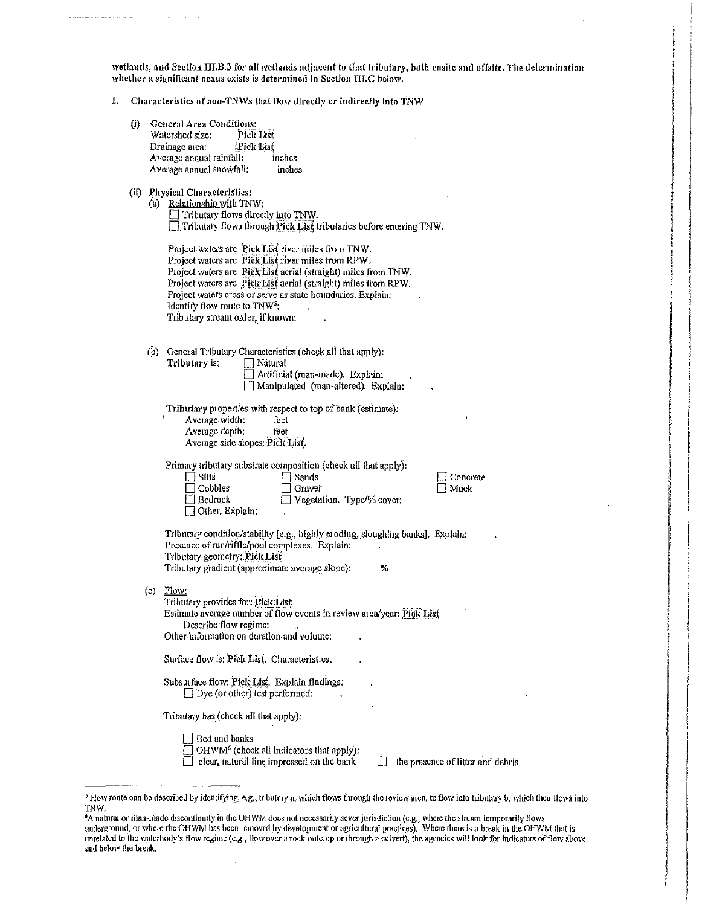wetlands, and Section III.B.3 for all wetlands adjacent to that tributary, both onsite and offsite. The determination whether a significant nexus exists is determined in Section III.C below.

| Ŀ. |  |  |  | Characteristics of non-TNWs that flow directly or indirectly into TNW |
|----|--|--|--|-----------------------------------------------------------------------|
|----|--|--|--|-----------------------------------------------------------------------|

- (i) General Area Conditions: Watershed size: Pick List<br>Drainage area: Pick List Drainage area; **Pick List**<br>Average annual rainfall: inches Average annual rainfall: inches<br>Average annual snowfall: inches Average annual snowfall:
- (ii) Physical Characteristics:

| (a) Relationship with TNW:                                           |
|----------------------------------------------------------------------|
| $\Box$ Tributary flows directly into TNW.                            |
| □ Tributary flows through Pick List tributaries before entering TNW. |
|                                                                      |

Project waters are .Piek List river miles from TNW. Project watcrs arc :Pick List river miles from RPW. Project waters are '.Pick:List aerial (straight) miles from TNW. Project waters are Pick List aerial (straight) miles from RPW. Project waters cross or serve as state boundaries. Explain: Identify flow route to TNW<sup>52</sup> Tributary stream order, if known:

(b) General Tributary Characteristics (check all that apply);<br>Thibatamin [] Natural Tributary is:

| ∟ Inaturat                          |  |
|-------------------------------------|--|
| Artificial (man-made). Explain:     |  |
| Manipulated (man-altered). Explain: |  |
|                                     |  |

Tributary properties with respect to top of bank (estimate): <sup>1</sup>Average width: feet Average depth: feet Average side slopes: Pick List.

Primary tributary substrate composition (check all that apply):

| $\Box$ Silts    |
|-----------------|
| $\Box$ Cobbles  |
| l Bedrock       |
| Other, Explain: |

 $\Box$  Sands  $\Box$  Gravel □ Vegetation. Type/% cover:

 $\Box$  Muck

 $\Box$  Concrete

Tributary condition/stability [e.g., highly eroding, sloughing banks]. Explain: Presence of run/riffle/pool complexes. Explain: Tributary geometry: Pick List Tributary gradient (approximate average slope): %

 $(c)$  Flow:

Tributary provides for: Pick List Estimate average number of flow events in review area/year: Pick List Describe flow regime:

Other information on duration and volume:

Surface flow is: Piek List. Characteristics:

Subsurface flow: Pick List. Explain findings:  $\Box$  Dye (or other) test performed:

Tributary has (check nil that apply):

**D** Bed and banks  $\Box$  OHWM<sup>6</sup> (check all indicators that apply):

 $\Box$  clear, natural line impressed on the bank  $\Box$  the presence of litter and debris

*<sup>5</sup>*Flow route can be described by identifying, e.g., tributary a, which flo:ws through the review area, to flow into tributary b, which !hen flows inlo TNW.

*<sup>6</sup>*A natural or man~niadc discontinuily in the OHWM does not necessarily sever jurisdiction (e.g., where the slrcam temporarily flows underground, or where the OHWM has been removed by development or agricultural practices). Where there is a break in the OHWM that is unrelated to the waterbody's flow regime (e.g., flow over a rock outcrop or through a culvert), the agencies will look for indicators of flow above and below the break.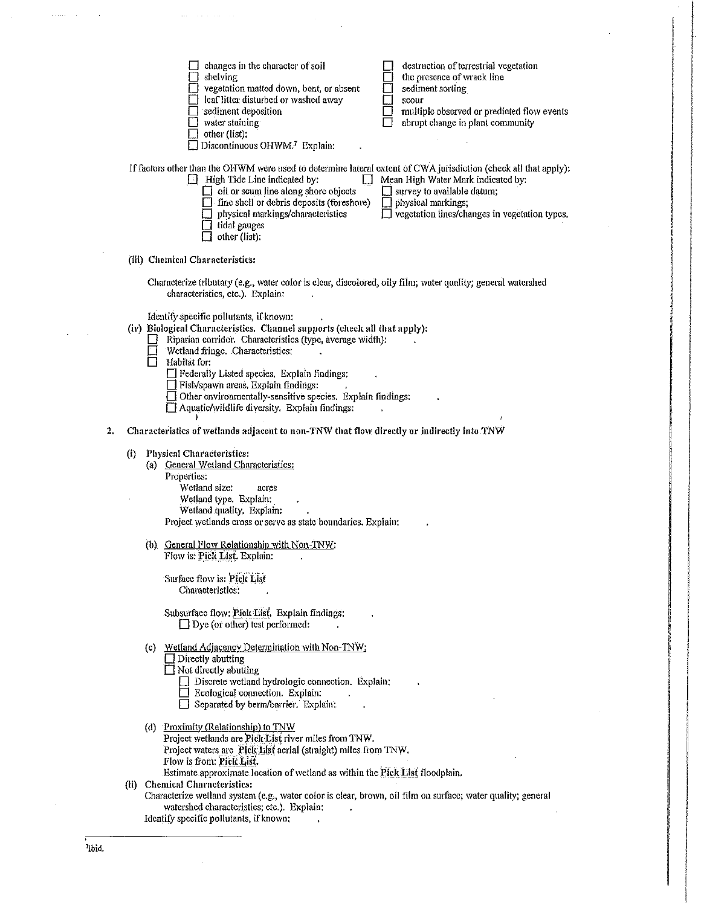|    |                   | destruction of terrestrial vegetation<br>changes in the character of soil<br>the presence of wrack line<br>shelving<br>yegetation matted down, bent, or absent<br>sediment sorting<br>leaf litter disturbed or washed away<br>scour<br>multiple observed or predicted flow events<br>sediment deposition<br>abrupt change in plant community<br>water staining<br>other (list):<br>Discontinuous OHWM. <sup>7</sup> Explain:                                                       |
|----|-------------------|------------------------------------------------------------------------------------------------------------------------------------------------------------------------------------------------------------------------------------------------------------------------------------------------------------------------------------------------------------------------------------------------------------------------------------------------------------------------------------|
|    |                   | If factors other than the OHWM were used to determine lateral extent of CWA jurisdiction (check all that apply):<br>$\Box$ High Tide Line indicated by:<br>Mean High Water Mark indicated by:<br>$\Box$ oil or scum line along shore objects<br>$\Box$ survey to available datum;<br>$\Box$ fine shell or debris deposits (foreshore)<br>physical markings;<br>vegetation lines/changes in vegetation types.<br>physical markings/characteristics<br>tidal gauges<br>other (list): |
|    |                   | (iii) Chemical Characteristics:                                                                                                                                                                                                                                                                                                                                                                                                                                                    |
|    |                   | Characterize tributary (e.g., water color is clear, discolored, oily film; water quality; general watershed<br>characteristics, etc.). Explain:                                                                                                                                                                                                                                                                                                                                    |
|    |                   | Identify specific pollutants, if known:<br>(iv) Biological Characteristics. Channel supports (check all that apply):<br>Riparian corridor. Characteristics (type, average width):<br>Wetland fringe. Characteristics:<br>Habitat for:<br>$\Box$ Federally Listed species. Explain findings:<br>□ Fish/spawn areas. Explain findings:<br>Other environmentally-sensitive species. Explain findings:<br>Aquatic/wildlife diversity. Explain findings:                                |
| 2. |                   | Characteristics of wetlands adjacent to non-TNW that flow directly or indirectly into TNW                                                                                                                                                                                                                                                                                                                                                                                          |
|    | $\left( i\right)$ | Physical Characteristics:<br>(a) General Wetland Characteristics:<br>Properties:<br>Wetland size:<br>acres<br>Wetland type. Explain:<br>Wetland quality, Explain:<br>Project wetlands cross or serve as state boundaries. Explain:                                                                                                                                                                                                                                                 |
|    |                   | (b) General Flow Relationship with Non-TNW:<br>Flow is: Pick List. Explain:<br>Surface flow is: Pick List<br>Characteristics:                                                                                                                                                                                                                                                                                                                                                      |
|    |                   | Subsurface flow: Pick List. Explain findings:<br>$\Box$ Dye (or other) test performed:                                                                                                                                                                                                                                                                                                                                                                                             |
|    |                   | Wetland Adjacency Determination with Non-TNW:<br>(c)<br>$\overline{\text{}1}$ Directly abutting<br>$\Box$ Not directly abutting<br>Discrete wetland hydrologic connection. Explain:<br><b>Explain:</b> Ecological connection. Explain:<br>$\Box$ Separated by berm/barrier. Explain:                                                                                                                                                                                               |
|    |                   | (d) Proximity (Relationship) to TNW<br>Project wetlands are Pick List river miles from TNW.<br>Project waters are Pick List aerial (straight) miles from TNW.<br>Flow is from: Pick List.<br>Estimate approximate location of wetland as within the Pick List floodplain.                                                                                                                                                                                                          |
|    | (ii)              | <b>Chemical Characteristics:</b><br>Characterize wetland system (e.g., water color is clear, brown, oil film on surface; water quality; general<br>watershed characteristics; etc.). Explain:<br>Identify specific pollutants, if known:                                                                                                                                                                                                                                           |
|    |                   |                                                                                                                                                                                                                                                                                                                                                                                                                                                                                    |

 $\label{eq:2} \frac{1}{\sqrt{2}}\sum_{i=1}^n\frac{1}{\sqrt{2\pi}}\sum_{j=1}^n\frac{1}{j!}\sum_{j=1}^n\frac{1}{j!}\sum_{j=1}^n\frac{1}{j!}\sum_{j=1}^n\frac{1}{j!}\sum_{j=1}^n\frac{1}{j!}\sum_{j=1}^n\frac{1}{j!}\sum_{j=1}^n\frac{1}{j!}\sum_{j=1}^n\frac{1}{j!}\sum_{j=1}^n\frac{1}{j!}\sum_{j=1}^n\frac{1}{j!}\sum_{j=1}^n\frac{1}{j!}\sum_{j=1$ 

i<br>Military (1980)<br>Military (1980)

|<br>|<br>|<br>|<br>|<br>|<br>|

I I

ing ang mga kalalahan ng mga magamalang ng mga magamalang ng mga magamalang ng mga magamalang ng mga magamalan<br>Mga magamalang ng mga magamalang ng mga magamalang ng mga magamalang ng mga magamalang ng mga magamalang ng mg !!<br>!<br>! olahkamu<br>I l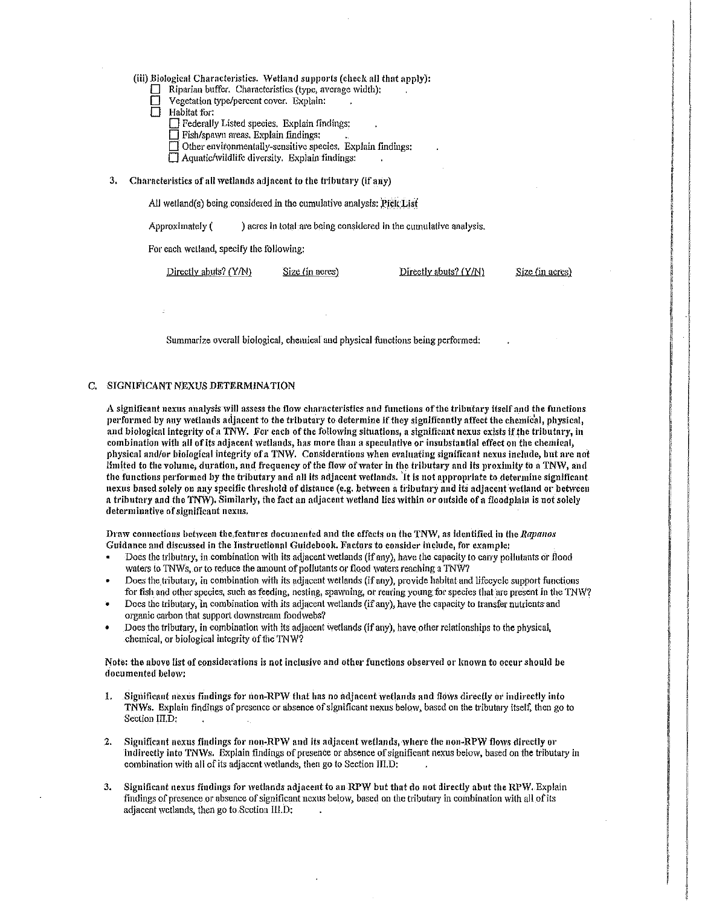- (iii) Biological Characteristics. Wetland supports (check all that apply):
	- Riparian buffer. Characteristics (type, average width):
	- Vegetation type/percent cover. Explain:
	- Habitat for:
		- 0 Federally Listed species. Explain findings:
		- $\Box$  Fish/spa yn areas. Explain findings:
		- $\Box$  Other environmentally-sensitive species. Explain findings:
		- $\Box$  Aquatic/wildlife diversity. Explain findings:
- 3. Characteristics of all wetlands adjacent to the tributary (if any)

All wetland(s) being considered in the cumulative analysis:  $PickList$ 

Approximately  $($ ) acres in total are being considered in the cumulative analysis.

For each Welland, specify lhe following:

Directly abuts? (Y/N) Size (in acres) Directly abuts? (Y/N)

Size (in acres)

Summarize overall biological, chemical and physical functions being performed:

### C. SIGNIFICANT NEXUS DETERMINATION

A significant nexus analysis will assess the flow characteristics and functions of the tributary itself and the functions performed by any wetlands adjacent to the tributary to determine if they significantly affect the chemical, physical, and biological integrity of a TNW. For each of the following situations, a significant nexus exists if the tributary, in combination with all of its adjacent wetlands, has more than a speculative or insubstantial effect on the chemical, physical and/or biological integrity of a TNW. Considerations when evaluating significant nexus include, but are not limited to the volume, duration, and frequency of the flow of water in the tributary and its proximity to a TNW, and the functions performed by the tributary and all its adjacent wetlands. It is not appropriate to determine significant nexus based solely on any specific threshold of distance (e.g. between a tributary and its adjacent wetland or between a tributary and the TNW). Similarly, the fact an adjacent wetland lies within or outside of a floodplain is not solely determinative of significant nexus.

Draw connections between the features documented and the effects on the TNW, as identified in the *Rapanos* Guidance and discussed in the Instructional Guidebook. Factors to consider include, for example:

- Does the tributary, in combination with its adjacent wetlands (if any), have the capacity to carry pollutants or flood waters to TNWs, or to reduce the amount of pollutants or flood waters reaching a TNW?
- Does the tributary, in combination with its adjacent wetlands (if any), provide habitat and lifecycle support functions for fish and other species, such as feeding, nesting, spawning, or rearing young for species that are present in the TNW?
- Does the tributary, in combination with its adjacent wetlands (if any); have the capacity to transfer nutrients-and organic carbon that support downstream foodwebs?
- Does the tributary, in combination with its adjacent wetlands (if any), have other relationships to the physical, chemical, or biological integrity of the TNW?

Note: the above list of considerations is not inclusive and other functions observed or known to occur should be documented below!

- 1. Significant nexus findings for non-RPW that has no adjacent wetlands and flows directly or indirectly into TNWs. Explain findings of presence or absence of significant nexus below, based on the tributary itself, then go to Section III.D:
- 2. Significant nexus findings for non-RPW and its adjacent wetlands, where the non-RPW flows directly or indirectly into TNWs. Explain findings of presence or absence of significant nexus below, based on the tributary in combination with all of its adjacent wetlands, then go to Section III.D:
- 3. Significant nexus findings for wetlands adjacent to an RPW but that do not directly abut the RPW. Explain findings of presence or absence of significant nexus below, based on the tributary in combination with all of its adjacent wetlands, then go to Section III.D: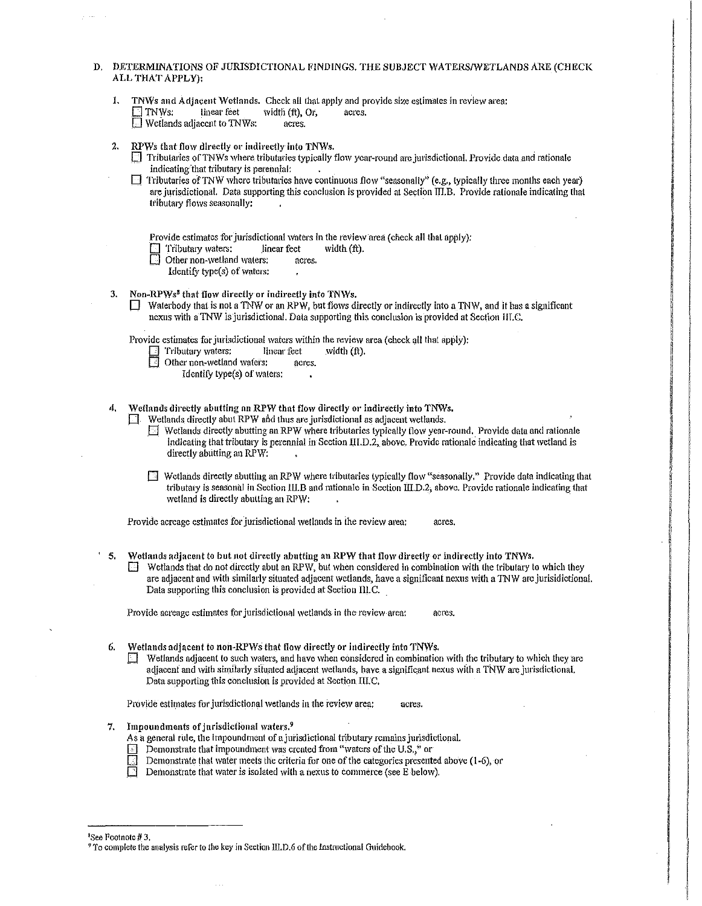- D. DETERMINATIONS OF JURISDICTIONAL FINDINGS. THE SUBJECT WATERS/WETLANDS ARE (CHECK ALL THAT APPLY):
	- 1. TNWs and Adjacent Wetlands. Check all that apply and provide size estimates in review area:<br> $\Box$  TNWs: linear feet width (ft). Or, acres. width (ft), Or, \_O Wcilands adjacent to TNWs: acres.
	- 2. RPWs that flow directly or indirectly into *TNWs*.
		- $\Box$  Tributaries of TNWs where tributaries typically flow year-round arc jurisdictional. Provide data and rationale indicating that tributary is perennial:
		- □ Tributaries of TNW where tributaries have continuous flow "seasonally" (e.g., typically three months each year) are jurisdictional. Data supporting this conclusion is provided at Sectibn TIT.B. Provide rationale indicating that tributary flows seasonally:
			- Provide estimates for jurisdictional waters in the review area (check all that apply):<br>  $\Box$  Tributary waters: linear feet width (ft).
			- Tributary waters: linear feet<br>Other non-wetland waters: acres.
			- Other non-wetland waters;
				- Identify type(s) of waters:
	- 3. Non-RPWs<sup>8</sup> that flow directly or indirectly into TNWs.
		- **D** Waterbody that is not a TNW or an RPW, but flows directly or indirectly into a TNW, and it has a significant nexus with a TNW is jurisdictional. Data supporting this conclusion is provided at Section III.C.

Provide estimates for jurisdictional waters within the review area (check all that apply):<br>  $\Box$  Tributary waters: linear feet width (ft).

 $\cdot$ 

- Tributary waters:
- Other non-wetland waters: acres.
	- Identify lype(s) of waters:
- 4. Wetlands directly abutting an RPW that flow directly or indirectly into TNWs.
	- Wetlands directly abut RPW and thus are jurisdictional as adjacent wetlands.
		- $\Box$  Wetlands directly abutting an RPW where tributaries typically flow year-round. Provide data and rationale indicating that tributary is perennial in Section III.D.2, above. Provide rationale indicating that wetland is directly abutting an RPW:
		- [J Wetlands directly abutting an RPW where tributaries typically flow "seasonally." Provide data indicating that tributaiy is seasonal in Section 111.B and rationale in Section lll.D.2; above. Provide rationale indicating that wetland is directly abutting an RPW:

Provide acreage estimates for jurisdictional wetlands in the review area: acres.

- $^{\circ}$  5. Wetlands adjacent to but not directly abutting an RPW that flow directly or indirectly into TNWs.
	- $\Box$  Wetlands that do not directly abut an RPW, but when considered in combination with the tributary to which they are adjacent and with similarly situated adjacent wetlands, have a significant nexus with a TNW are jurisidictional. Data supporting this conclusion is provided at Section III.C.

Provide acreage estimates for jurisdictional wetlands in the review area: acres.

- 6. Wetlands adjacent to non-RPWs that flow directly or indirectly into TNWs.
	- $\Box$  Wetlands adjacent to such waters, and have when considered in combination with the tributary to which they are adjacent and with similarly situated adjacent wetlands, have a significant nexus with a TNW are jurisdictional. Data supporting this conclusion is provided at Section III.C.

Provide estimates for jurisdictional wetlands in the review area; acres.

- 7. Impoundments of jurisdictional waters.<sup>9</sup>
	- As a general rule, the impoundment of a jurisdictional tributary rcmains jurisdictional.
	- $\Box$  Demonstrate that impoundment was created from "waters of the U.S.," or
	- Demonstrate that water meets the criteria for one of the categories presented above (1-6), or
	- Demonstrate that water is isolated with a nexus to commerce (see E below).

<sup>a</sup>See Footnote # 3.

<sup>&</sup>lt;sup>9</sup> To complete the analysis refer to the key in Section III.D.6 of the Instructional Guidebook.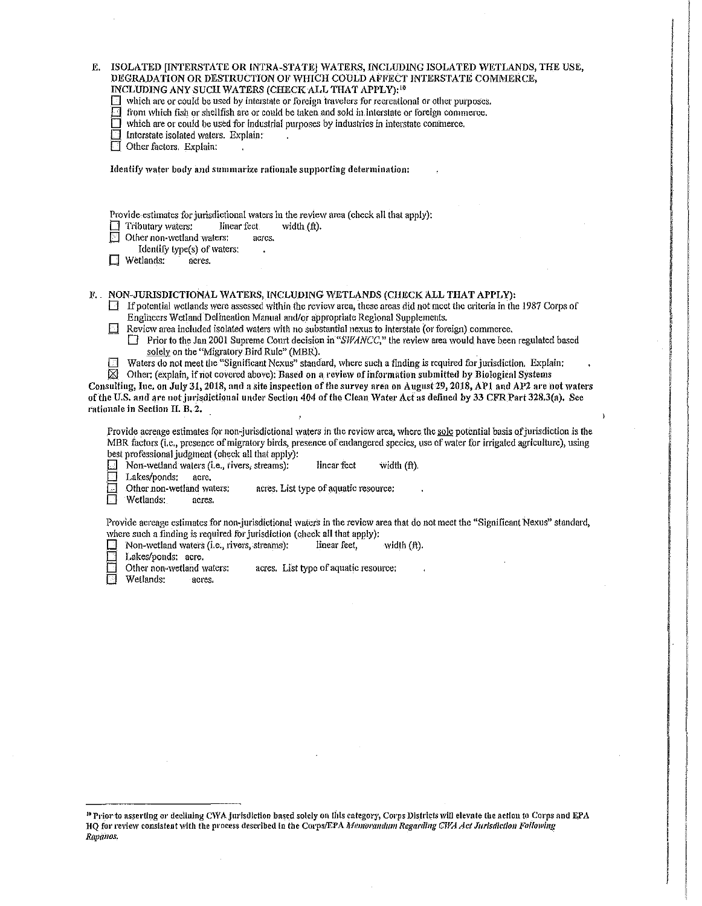| E,    ISOLATED [INTERSTATE OR INTRA-STATE] WATERS, INCLUDING ISOLATED WETLANDS, THE USE, |
|------------------------------------------------------------------------------------------|
| DEGRADATION OR DESTRUCTION OF WHICH COULD AFFECT INTERSTATE COMMERCE,                    |
| <b>INCLIDING ANY SHOU WATERS (CHECK ALL THAT APPLY).</b> <sup>10</sup>                   |

INCLUDING ANY SUCH WATERS (CHECK ALL THAT APPLY):<sup>10</sup><br>□ which are or could be used by interstate or foreign travelers for recreational or other purposes.

- $\Box$  from which fish or shellfish are or could be taken and sold in interstate or foreign commerce.
- $\Box$  which are or could be used for industrial purposes by industries in interstate commerce.
- Interstate isolated waters. Explain:
- Other factors. Explain:

Identify water body and summarize rationale supporting determination:

Provide estimates for jurisdictional waters in the review area (check all that apply):<br>
Tributary waters: linear fect width (ft).

 $\Box$  Tributary waters: linear feet width (ft).

- Other non-wetland waters: acres.
- Identify lype(s) of waters:
- $\Box$  Wetlands: acres.

### F. NON-JURISDICTIONAL WATERS, INCLUDING WETLANDS (CHECK ALL THAT APPLY):

 $\Box$  If potential wetlands were assessed within the review area, these areas did not meet the criteria in the 1987 Corps of Engineers Wetland.Delineation Manual and/or appropriate Regional Supplements.

i **Except Except international** Administrativnosti<br>Internet<br>Internet Internet Administrativnosti

I<br>I San Tanzania<br>I San Tanzania I San Tanzania (Karatan Indonesia) I i

 $\label{eq:2.1}$  <br> $\label{2.1}$ 

IANGSA<br>I : Maria Maria Maria Maria Maria<br>I : Maria Maria Maria Maria Maria Maria Maria Maria Maria Maria Maria Maria Maria Maria Maria Maria Maria Mar I I I

!i

- $\Box$  Review area included isolated waters with no substantial nexus to interstate (or foreign) commerce.
	- $\Box$  Prior to the Jan 2001 Supreme Court decision in "SWANCC," the review area would have been regulated based solely on the "Migratory Bird Ruic" (MBR).
- D Waters do not meet the "Significant Nexus" standard, where such a finding is required for jurisdiction. Explain:<br> $\boxtimes$  Other: (explain, if not covered above): Based on a review of information submitted by Biological Sys
- Other: (explain, if not covered above): Based on a review of information submitted by Biological Systems

Consulting, Inc. on July 31, 2018, and a site inspection of the survey area on August 29, 2018, AP1 and AP2 are not waters of the U.S. and are not jurisdictional under Section 404 of the Clean Water Act as defined by 33 CFR Part 328.3(a). See rationale in Section II. B. 2.

Provide acreage estimates for non-jurisdictional waters in the review area, where the sole potential basis of jurisdiction is the MBR factors (i.e., presence of migratory birds, presence of endangered species, use of water for irrigated agriculture), using best professional judgment (check all that apply):<br>
Non-wetland waters (i.e., rivers, streams):

**D** Non-wetland waters (i.e., rivers, streams): Inear feet width (ft).<br>Lakes/ponds: acre.

- Lakes/ponds: acre.<br>Other non-wetland waters:  $\Box$  Other non-wetland waters: acres. List type of aquatic resource:<br> $\Box$  Wetlands: acres.
- Wetlands:

Provide acreage estimates for non-jurisdictional waters in the review area that do not meet the "Significant Nexus" standard, where such a finding is required for jurisdiction (check all that apply):<br> $\Box$  Non-wetland waters (i.e., rivers, streams): linear feet,

- $\Box$  Non-wetland waters (i.e., rivers, streams): linear feet, width (ft),
- 
- Lakes/ponds: acre.<br>Other non-wetland waters:  $\Box$  Other non-wetland waters: acres. List type of aquatic resource;<br> $\Box$  Wetlands: acres.
- Wetlands: acres.

<sup>10</sup> Prior to asserting or declining CWA jurisdiction based solely on this category, Corps Districts will elevate the action to Corps and EPA HQ for review consistent with the process described in the Corps/EPA Memorandum Regarding CWA Act Jurisdiction Following Rapanos,